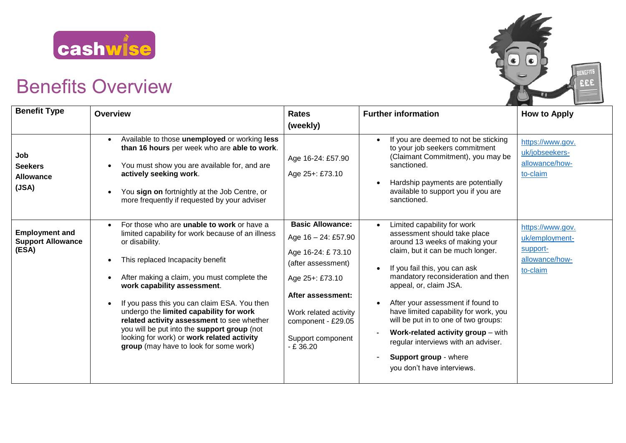

## Benefits Overview



| <b>Benefit Type</b>                                        | <b>Overview</b>                                                                                                                                                                                                                                                                                                                                                                                                                                                                                                                         | <b>Rates</b>                                                                                                                                                                                                         | <b>Further information</b>                                                                                                                                                                                                                                                                                                                                                                                                                                                                                        | <b>How to Apply</b>                                                          |
|------------------------------------------------------------|-----------------------------------------------------------------------------------------------------------------------------------------------------------------------------------------------------------------------------------------------------------------------------------------------------------------------------------------------------------------------------------------------------------------------------------------------------------------------------------------------------------------------------------------|----------------------------------------------------------------------------------------------------------------------------------------------------------------------------------------------------------------------|-------------------------------------------------------------------------------------------------------------------------------------------------------------------------------------------------------------------------------------------------------------------------------------------------------------------------------------------------------------------------------------------------------------------------------------------------------------------------------------------------------------------|------------------------------------------------------------------------------|
|                                                            |                                                                                                                                                                                                                                                                                                                                                                                                                                                                                                                                         | (weekly)                                                                                                                                                                                                             |                                                                                                                                                                                                                                                                                                                                                                                                                                                                                                                   |                                                                              |
| Job<br><b>Seekers</b><br><b>Allowance</b><br>(JSA)         | Available to those unemployed or working less<br>than 16 hours per week who are able to work.<br>You must show you are available for, and are<br>actively seeking work.<br>You sign on fortnightly at the Job Centre, or<br>more frequently if requested by your adviser                                                                                                                                                                                                                                                                | Age 16-24: £57.90<br>Age 25+: £73.10                                                                                                                                                                                 | If you are deemed to not be sticking<br>$\bullet$<br>to your job seekers commitment<br>(Claimant Commitment), you may be<br>sanctioned.<br>Hardship payments are potentially<br>available to support you if you are<br>sanctioned.                                                                                                                                                                                                                                                                                | https://www.gov.<br>uk/jobseekers-<br>allowance/how-<br>to-claim             |
| <b>Employment and</b><br><b>Support Allowance</b><br>(ESA) | For those who are <b>unable to work</b> or have a<br>$\bullet$<br>limited capability for work because of an illness<br>or disability.<br>This replaced Incapacity benefit<br>After making a claim, you must complete the<br>work capability assessment.<br>If you pass this you can claim ESA. You then<br>undergo the limited capability for work<br>related activity assessment to see whether<br>you will be put into the support group (not<br>looking for work) or work related activity<br>group (may have to look for some work) | <b>Basic Allowance:</b><br>Age 16 - 24: £57.90<br>Age 16-24: £73.10<br>(after assessment)<br>Age 25+: £73.10<br>After assessment:<br>Work related activity<br>component - £29.05<br>Support component<br>$- E 36.20$ | Limited capability for work<br>$\bullet$<br>assessment should take place<br>around 13 weeks of making your<br>claim, but it can be much longer.<br>If you fail this, you can ask<br>mandatory reconsideration and then<br>appeal, or, claim JSA.<br>After your assessment if found to<br>have limited capability for work, you<br>will be put in to one of two groups:<br>Work-related activity group - with<br>regular interviews with an adviser.<br><b>Support group - where</b><br>you don't have interviews. | https://www.gov.<br>uk/employment-<br>support-<br>allowance/how-<br>to-claim |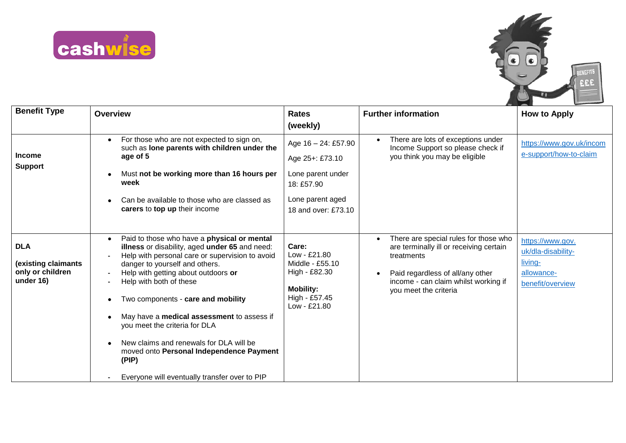



| <b>Benefit Type</b>                                                | <b>Overview</b>                                                                                                                                                                                                                                                                                                                                                                                                                                                                                                                         | <b>Rates</b><br>(weekly)                                                                                             | <b>Further information</b>                                                                                                                                                                          | <b>How to Apply</b>                                                                 |
|--------------------------------------------------------------------|-----------------------------------------------------------------------------------------------------------------------------------------------------------------------------------------------------------------------------------------------------------------------------------------------------------------------------------------------------------------------------------------------------------------------------------------------------------------------------------------------------------------------------------------|----------------------------------------------------------------------------------------------------------------------|-----------------------------------------------------------------------------------------------------------------------------------------------------------------------------------------------------|-------------------------------------------------------------------------------------|
| <b>Income</b><br><b>Support</b>                                    | For those who are not expected to sign on,<br>$\bullet$<br>such as lone parents with children under the<br>age of 5<br>Must not be working more than 16 hours per<br>week<br>Can be available to those who are classed as<br>carers to top up their income                                                                                                                                                                                                                                                                              | Age 16 - 24: £57.90<br>Age 25+: £73.10<br>Lone parent under<br>18: £57.90<br>Lone parent aged<br>18 and over: £73.10 | There are lots of exceptions under<br>Income Support so please check if<br>you think you may be eligible                                                                                            | https://www.gov.uk/incom<br>e-support/how-to-claim                                  |
| <b>DLA</b><br>(existing claimants<br>only or children<br>under 16) | Paid to those who have a physical or mental<br>$\bullet$<br>illness or disability, aged under 65 and need:<br>Help with personal care or supervision to avoid<br>danger to yourself and others.<br>Help with getting about outdoors or<br>Help with both of these<br>Two components - care and mobility<br>May have a medical assessment to assess if<br>you meet the criteria for DLA<br>New claims and renewals for DLA will be<br>moved onto Personal Independence Payment<br>(PIP)<br>Everyone will eventually transfer over to PIP | Care:<br>$Low - £21.80$<br>Middle - £55.10<br>High - £82.30<br><b>Mobility:</b><br>High - £57.45<br>$Low - £21.80$   | There are special rules for those who<br>are terminally ill or receiving certain<br>treatments<br>Paid regardless of all/any other<br>income - can claim whilst working if<br>you meet the criteria | https://www.gov.<br>uk/dla-disability-<br>living-<br>allowance-<br>benefit/overview |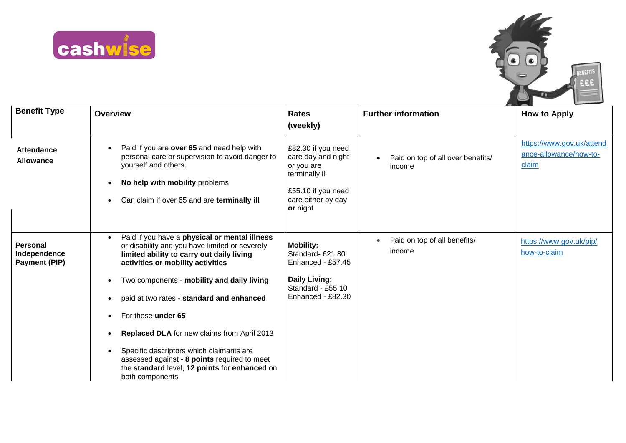



| <b>Benefit Type</b>                              | <b>Overview</b>                                                                                                                                                                                                                                                                                                                                                                                                                                                                                                                | <b>Rates</b><br>(weekly)                                                                                                         | <b>Further information</b>                  | <b>How to Apply</b>                                          |
|--------------------------------------------------|--------------------------------------------------------------------------------------------------------------------------------------------------------------------------------------------------------------------------------------------------------------------------------------------------------------------------------------------------------------------------------------------------------------------------------------------------------------------------------------------------------------------------------|----------------------------------------------------------------------------------------------------------------------------------|---------------------------------------------|--------------------------------------------------------------|
| Attendance<br><b>Allowance</b>                   | Paid if you are over 65 and need help with<br>personal care or supervision to avoid danger to<br>yourself and others.<br>No help with mobility problems<br>Can claim if over 65 and are terminally ill                                                                                                                                                                                                                                                                                                                         | £82.30 if you need<br>care day and night<br>or you are<br>terminally ill<br>£55.10 if you need<br>care either by day<br>or night | Paid on top of all over benefits/<br>income | https://www.gov.uk/attend<br>ance-allowance/how-to-<br>claim |
| <b>Personal</b><br>Independence<br>Payment (PIP) | Paid if you have a physical or mental illness<br>$\bullet$<br>or disability and you have limited or severely<br>limited ability to carry out daily living<br>activities or mobility activities<br>Two components - mobility and daily living<br>paid at two rates - standard and enhanced<br>For those under 65<br>Replaced DLA for new claims from April 2013<br>Specific descriptors which claimants are<br>assessed against - 8 points required to meet<br>the standard level, 12 points for enhanced on<br>both components | <b>Mobility:</b><br>Standard-£21.80<br>Enhanced - £57.45<br><b>Daily Living:</b><br>Standard - £55.10<br>Enhanced - £82.30       | Paid on top of all benefits/<br>income      | https://www.gov.uk/pip/<br>how-to-claim                      |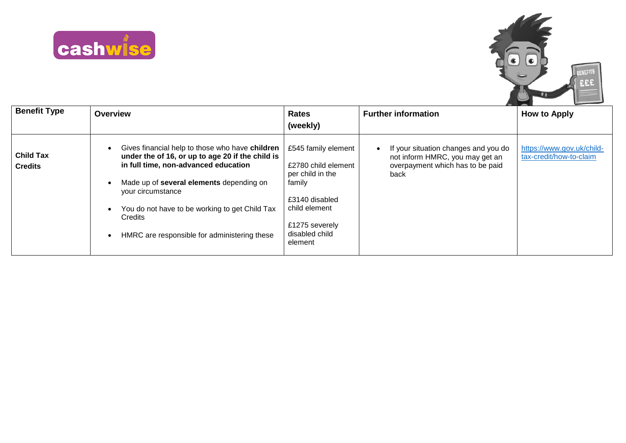



| <b>Benefit Type</b>                | <b>Overview</b>                                                                                                                                                                                                                                                                                                           | <b>Rates</b><br>(weekly)                                                                                                                                   | <b>Further information</b>                                                                                          | <b>How to Apply</b>                                  |
|------------------------------------|---------------------------------------------------------------------------------------------------------------------------------------------------------------------------------------------------------------------------------------------------------------------------------------------------------------------------|------------------------------------------------------------------------------------------------------------------------------------------------------------|---------------------------------------------------------------------------------------------------------------------|------------------------------------------------------|
| <b>Child Tax</b><br><b>Credits</b> | Gives financial help to those who have children<br>under the of 16, or up to age 20 if the child is<br>in full time, non-advanced education<br>Made up of several elements depending on<br>your circumstance<br>You do not have to be working to get Child Tax<br>Credits<br>HMRC are responsible for administering these | £545 family element<br>£2780 child element<br>per child in the<br>family<br>£3140 disabled<br>child element<br>£1275 severely<br>disabled child<br>element | If your situation changes and you do<br>not inform HMRC, you may get an<br>overpayment which has to be paid<br>back | https://www.gov.uk/child-<br>tax-credit/how-to-claim |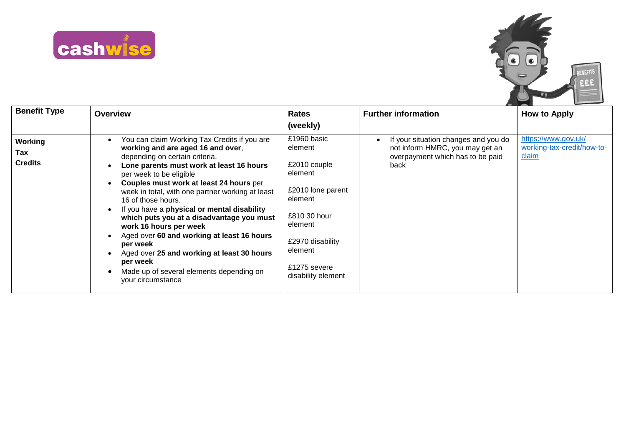



| <b>Benefit Type</b>              | <b>Overview</b>                                                                                                                                                                                                                                                                                                                                                                                                                                                                                                                                                                                                            | <b>Rates</b><br>(weekly)                                                                                                                                                          | <b>Further information</b>                                                                                          | <b>How to Apply</b>                                        |
|----------------------------------|----------------------------------------------------------------------------------------------------------------------------------------------------------------------------------------------------------------------------------------------------------------------------------------------------------------------------------------------------------------------------------------------------------------------------------------------------------------------------------------------------------------------------------------------------------------------------------------------------------------------------|-----------------------------------------------------------------------------------------------------------------------------------------------------------------------------------|---------------------------------------------------------------------------------------------------------------------|------------------------------------------------------------|
| Working<br>Tax<br><b>Credits</b> | You can claim Working Tax Credits if you are<br>working and are aged 16 and over,<br>depending on certain criteria.<br>Lone parents must work at least 16 hours<br>per week to be eligible<br>Couples must work at least 24 hours per<br>week in total, with one partner working at least<br>16 of those hours.<br>If you have a physical or mental disability<br>which puts you at a disadvantage you must<br>work 16 hours per week<br>Aged over 60 and working at least 16 hours<br>per week<br>Aged over 25 and working at least 30 hours<br>per week<br>Made up of several elements depending on<br>your circumstance | £1960 basic<br>element<br>£2010 couple<br>element<br>£2010 lone parent<br>element<br>£810 30 hour<br>element<br>£2970 disability<br>element<br>£1275 severe<br>disability element | If your situation changes and you do<br>not inform HMRC, you may get an<br>overpayment which has to be paid<br>back | https://www.gov.uk/<br>working-tax-credit/how-to-<br>claim |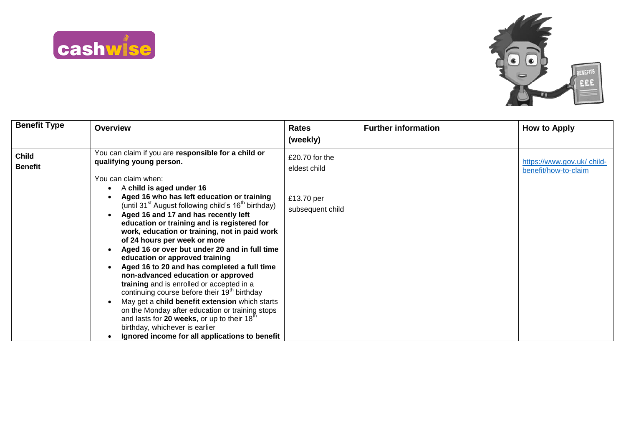



| <b>Benefit Type</b>            | <b>Overview</b>                                                                                                                                                                                                                                                                                                                                                                                                                                                                                                                                                                                                                                                                                                                                                                                                                                                    | <b>Rates</b>                   | <b>Further information</b> | <b>How to Apply</b>                                |
|--------------------------------|--------------------------------------------------------------------------------------------------------------------------------------------------------------------------------------------------------------------------------------------------------------------------------------------------------------------------------------------------------------------------------------------------------------------------------------------------------------------------------------------------------------------------------------------------------------------------------------------------------------------------------------------------------------------------------------------------------------------------------------------------------------------------------------------------------------------------------------------------------------------|--------------------------------|----------------------------|----------------------------------------------------|
|                                |                                                                                                                                                                                                                                                                                                                                                                                                                                                                                                                                                                                                                                                                                                                                                                                                                                                                    | (weekly)                       |                            |                                                    |
| <b>Child</b><br><b>Benefit</b> | You can claim if you are responsible for a child or<br>qualifying young person.<br>You can claim when:                                                                                                                                                                                                                                                                                                                                                                                                                                                                                                                                                                                                                                                                                                                                                             | £20.70 for the<br>eldest child |                            | https://www.gov.uk/ child-<br>benefit/how-to-claim |
|                                | A child is aged under 16<br>Aged 16 who has left education or training<br>(until 31 <sup>st</sup> August following child's 16 <sup>th</sup> birthday)<br>Aged 16 and 17 and has recently left<br>education or training and is registered for<br>work, education or training, not in paid work<br>of 24 hours per week or more<br>Aged 16 or over but under 20 and in full time<br>education or approved training<br>Aged 16 to 20 and has completed a full time<br>non-advanced education or approved<br>training and is enrolled or accepted in a<br>continuing course before their 19 <sup>th</sup> birthday<br>May get a child benefit extension which starts<br>on the Monday after education or training stops<br>and lasts for 20 weeks, or up to their 18 <sup>th</sup><br>birthday, whichever is earlier<br>Ignored income for all applications to benefit | £13.70 per<br>subsequent child |                            |                                                    |